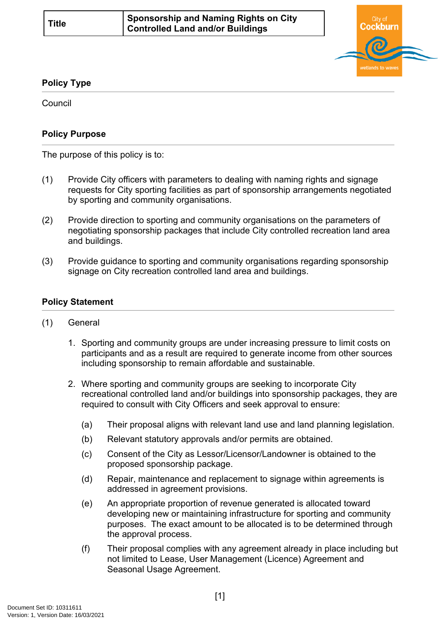

## **Policy Type**

Council

## **Policy Purpose**

The purpose of this policy is to:

- (1) Provide City officers with parameters to dealing with naming rights and signage requests for City sporting facilities as part of sponsorship arrangements negotiated by sporting and community organisations.
- (2) Provide direction to sporting and community organisations on the parameters of negotiating sponsorship packages that include City controlled recreation land area and buildings.
- (3) Provide guidance to sporting and community organisations regarding sponsorship signage on City recreation controlled land area and buildings.

## **[Policy Statement](#page-0-0)**

- <span id="page-0-0"></span>(1) General
	- 1. Sporting and community groups are under increasing pressure to limit costs on participants and as a result are required to generate income from other sources including sponsorship to remain affordable and sustainable.
	- 2. Where sporting and community groups are seeking to incorporate City recreational controlled land and/or buildings into sponsorship packages, they are required to consult with City Officers and seek approval to ensure:
		- (a) Their proposal aligns with relevant land use and land planning legislation.
		- (b) Relevant statutory approvals and/or permits are obtained.
		- (c) Consent of the City as Lessor/Licensor/Landowner is obtained to the proposed sponsorship package.
		- (d) Repair, maintenance and replacement to signage within agreements is addressed in agreement provisions.
		- (e) An appropriate proportion of revenue generated is allocated toward developing new or maintaining infrastructure for sporting and community purposes. The exact amount to be allocated is to be determined through the approval process.
		- (f) Their proposal complies with any agreement already in place including but not limited to Lease, User Management (Licence) Agreement and Seasonal Usage Agreement.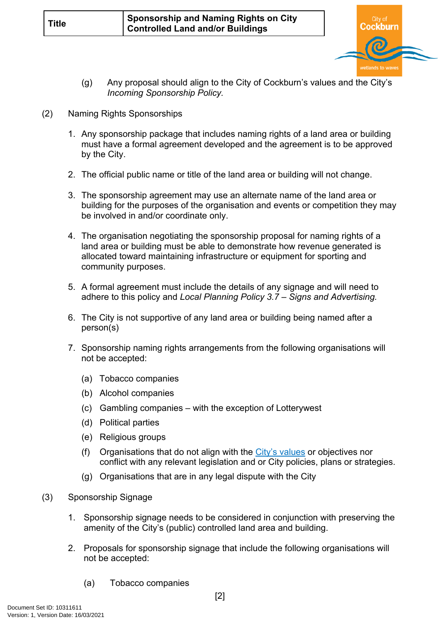

- (g) Any proposal should align to the City of Cockburn's values and the City's *Incoming Sponsorship Policy.*
- (2) Naming Rights Sponsorships
	- 1. Any sponsorship package that includes naming rights of a land area or building must have a formal agreement developed and the agreement is to be approved by the City.
	- 2. The official public name or title of the land area or building will not change.
	- 3. The sponsorship agreement may use an alternate name of the land area or building for the purposes of the organisation and events or competition they may be involved in and/or coordinate only.
	- 4. The organisation negotiating the sponsorship proposal for naming rights of a land area or building must be able to demonstrate how revenue generated is allocated toward maintaining infrastructure or equipment for sporting and community purposes.
	- 5. A formal agreement must include the details of any signage and will need to adhere to this policy and *Local Planning Policy 3.7 – Signs and Advertising.*
	- 6. The City is not supportive of any land area or building being named after a person(s)
	- 7. Sponsorship naming rights arrangements from the following organisations will not be accepted:
		- (a) Tobacco companies
		- (b) Alcohol companies
		- (c) Gambling companies with the exception of Lotterywest
		- (d) Political parties
		- (e) Religious groups
		- (f) Organisations that do not align with the [City's values](https://www.cockburn.wa.gov.au/City-and-Council/About-Council-Meetings-and-Elections/Vision-Mission-and-Values) or objectives nor conflict with any relevant legislation and or City policies, plans or strategies.
		- (g) Organisations that are in any legal dispute with the City
- (3) Sponsorship Signage
	- 1. Sponsorship signage needs to be considered in conjunction with preserving the amenity of the City's (public) controlled land area and building.
	- 2. Proposals for sponsorship signage that include the following organisations will not be accepted:
		- (a) Tobacco companies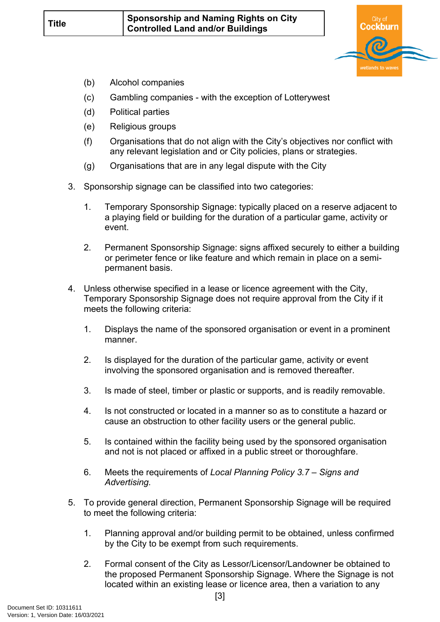

- (b) Alcohol companies
- (c) Gambling companies with the exception of Lotterywest
- (d) Political parties
- (e) Religious groups
- (f) Organisations that do not align with the City's objectives nor conflict with any relevant legislation and or City policies, plans or strategies.
- (g) Organisations that are in any legal dispute with the City
- 3. Sponsorship signage can be classified into two categories:
	- 1. Temporary Sponsorship Signage: typically placed on a reserve adjacent to a playing field or building for the duration of a particular game, activity or event.
	- 2. Permanent Sponsorship Signage: signs affixed securely to either a building or perimeter fence or like feature and which remain in place on a semipermanent basis.
- 4. Unless otherwise specified in a lease or licence agreement with the City, Temporary Sponsorship Signage does not require approval from the City if it meets the following criteria:
	- 1. Displays the name of the sponsored organisation or event in a prominent manner.
	- 2. Is displayed for the duration of the particular game, activity or event involving the sponsored organisation and is removed thereafter.
	- 3. Is made of steel, timber or plastic or supports, and is readily removable.
	- 4. Is not constructed or located in a manner so as to constitute a hazard or cause an obstruction to other facility users or the general public.
	- 5. Is contained within the facility being used by the sponsored organisation and not is not placed or affixed in a public street or thoroughfare.
	- 6. Meets the requirements of *Local Planning Policy 3.7 Signs and Advertising.*
- 5. To provide general direction, Permanent Sponsorship Signage will be required to meet the following criteria:
	- 1. Planning approval and/or building permit to be obtained, unless confirmed by the City to be exempt from such requirements.
	- 2. Formal consent of the City as Lessor/Licensor/Landowner be obtained to the proposed Permanent Sponsorship Signage. Where the Signage is not located within an existing lease or licence area, then a variation to any